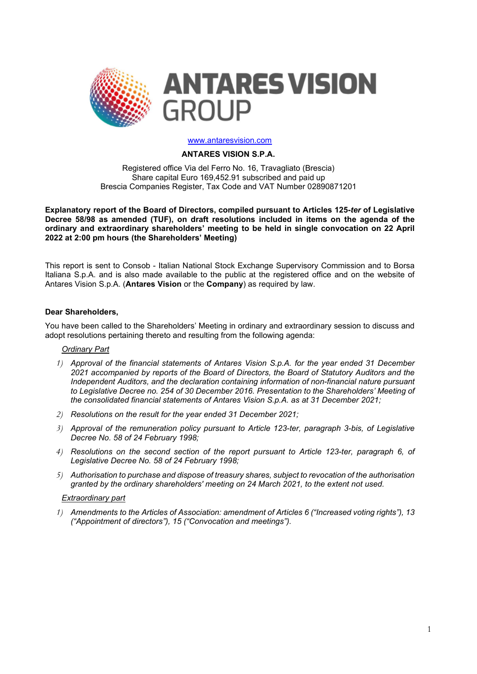

### www.antaresvision.com

## ANTARES VISION S.P.A.

Registered office Via del Ferro No. 16, Travagliato (Brescia) Share capital Euro 169,452.91 subscribed and paid up Brescia Companies Register, Tax Code and VAT Number 02890871201

Explanatory report of the Board of Directors, compiled pursuant to Articles 125-ter of Legislative Decree 58/98 as amended (TUF), on draft resolutions included in items on the agenda of the ordinary and extraordinary shareholders' meeting to be held in single convocation on 22 April 2022 at 2:00 pm hours (the Shareholders' Meeting)

This report is sent to Consob - Italian National Stock Exchange Supervisory Commission and to Borsa Italiana S.p.A. and is also made available to the public at the registered office and on the website of Antares Vision S.p.A. (Antares Vision or the Company) as required by law.

## Dear Shareholders,

You have been called to the Shareholders' Meeting in ordinary and extraordinary session to discuss and adopt resolutions pertaining thereto and resulting from the following agenda:

## Ordinary Part

- 1) Approval of the financial statements of Antares Vision S.p.A. for the year ended 31 December 2021 accompanied by reports of the Board of Directors, the Board of Statutory Auditors and the Independent Auditors, and the declaration containing information of non-financial nature pursuant to Legislative Decree no. 254 of 30 December 2016. Presentation to the Shareholders' Meeting of the consolidated financial statements of Antares Vision S.p.A. as at 31 December 2021;
- 2) Resolutions on the result for the year ended 31 December 2021;
- 3) Approval of the remuneration policy pursuant to Article 123-ter, paragraph 3-bis, of Legislative Decree No. 58 of 24 February 1998;
- 4) Resolutions on the second section of the report pursuant to Article 123-ter, paragraph 6, of Legislative Decree No. 58 of 24 February 1998;
- 5) Authorisation to purchase and dispose of treasury shares, subject to revocation of the authorisation granted by the ordinary shareholders' meeting on 24 March 2021, to the extent not used.

### Extraordinary part

1) Amendments to the Articles of Association: amendment of Articles 6 ("Increased voting rights"), 13 ("Appointment of directors"), 15 ("Convocation and meetings").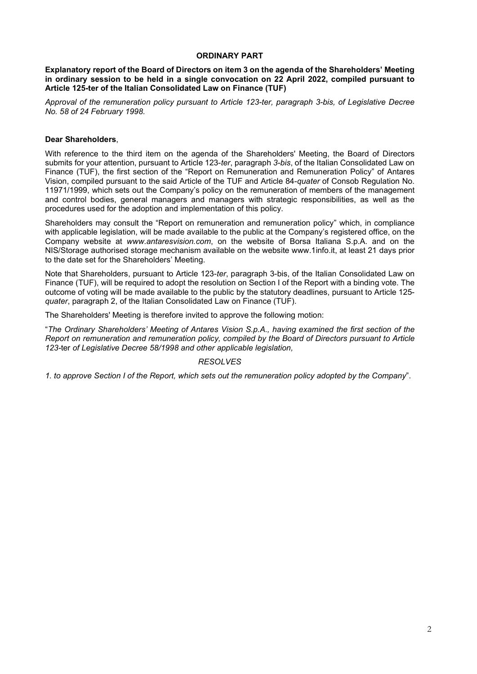# ORDINARY PART

Explanatory report of the Board of Directors on item 3 on the agenda of the Shareholders' Meeting in ordinary session to be held in a single convocation on 22 April 2022, compiled pursuant to Article 125-ter of the Italian Consolidated Law on Finance (TUF)

Approval of the remuneration policy pursuant to Article 123-ter, paragraph 3-bis, of Legislative Decree No. 58 of 24 February 1998.

# Dear Shareholders,

With reference to the third item on the agenda of the Shareholders' Meeting, the Board of Directors submits for your attention, pursuant to Article 123-ter, paragraph 3-bis, of the Italian Consolidated Law on Finance (TUF), the first section of the "Report on Remuneration and Remuneration Policy" of Antares Vision, compiled pursuant to the said Article of the TUF and Article 84-quater of Consob Regulation No. 11971/1999, which sets out the Company's policy on the remuneration of members of the management and control bodies, general managers and managers with strategic responsibilities, as well as the procedures used for the adoption and implementation of this policy.

Shareholders may consult the "Report on remuneration and remuneration policy" which, in compliance with applicable legislation, will be made available to the public at the Company's registered office, on the Company website at www.antaresvision.com, on the website of Borsa Italiana S.p.A. and on the NIS/Storage authorised storage mechanism available on the website www.1info.it, at least 21 days prior to the date set for the Shareholders' Meeting.

Note that Shareholders, pursuant to Article 123-ter, paragraph 3-bis, of the Italian Consolidated Law on Finance (TUF), will be required to adopt the resolution on Section I of the Report with a binding vote. The outcome of voting will be made available to the public by the statutory deadlines, pursuant to Article 125 quater, paragraph 2, of the Italian Consolidated Law on Finance (TUF).

The Shareholders' Meeting is therefore invited to approve the following motion:

"The Ordinary Shareholders' Meeting of Antares Vision S.p.A., having examined the first section of the Report on remuneration and remuneration policy, compiled by the Board of Directors pursuant to Article 123-ter of Legislative Decree 58/1998 and other applicable legislation,

# RESOLVES

1. to approve Section I of the Report, which sets out the remuneration policy adopted by the Company".